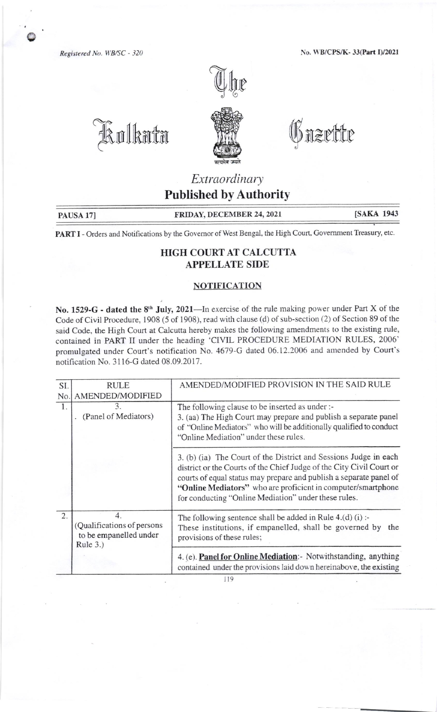Registered No. WB/SC - 320

kolkata

No. WB/CPS/K-33(Part I)/2021





O nzrttr

## Extraordinary **Published by Authority**

PAUSA 17]

FRIDAY, DECEMBER 24, 2021

**[SAKA 1943** 

PART I - Orders and Notifications by the Governor of West Bengal, the High Court, Government Treasury, etc.

## HIGH COURT AT CALCUTTA **APPELLATE SIDE**

## **NOTIFICATION**

No. 1529-G - dated the 8<sup>th</sup> July, 2021—In exercise of the rule making power under Part X of the Code of Civil Procedure, 1908 (5 of 1908), read with clause (d) of sub-section (2) of Section 89 of the said Code, the High Court at Calcutta hereby makes the following amendments to the existing rule, contained in PART II under the heading 'CIVIL PROCEDURE MEDIATION RULES, 2006' promulgated under Court's notification No. 4679-G dated 06.12.2006 and amended by Court's notification No. 3116-G dated 08.09.2017.

| SI. | <b>RULE</b>                                                            | AMENDED/MODIFIED PROVISION IN THE SAID RULE                                                                                                                                                                                                                                                                                            |
|-----|------------------------------------------------------------------------|----------------------------------------------------------------------------------------------------------------------------------------------------------------------------------------------------------------------------------------------------------------------------------------------------------------------------------------|
| No. | AMENDED/MODIFIED                                                       |                                                                                                                                                                                                                                                                                                                                        |
| 1.  | 3.<br>(Panel of Mediators)                                             | The following clause to be inserted as under :-<br>3. (aa) The High Court may prepare and publish a separate panel<br>of "Online Mediators" who will be additionally qualified to conduct<br>"Online Mediation" under these rules.                                                                                                     |
|     |                                                                        | 3. (b) (ia) The Court of the District and Sessions Judge in each<br>district or the Courts of the Chief Judge of the City Civil Court or<br>courts of equal status may prepare and publish a separate panel of<br>"Online Mediators" who are proficient in computer/smartphone<br>for conducting "Online Mediation" under these rules. |
| 2.  | 4.<br>(Qualifications of persons<br>to be empanelled under<br>Rule 3.) | The following sentence shall be added in Rule $4.(d)(i)$ :<br>These institutions, if empanelled, shall be governed by the<br>provisions of these rules;                                                                                                                                                                                |
|     |                                                                        | 4. (e). Panel for Online Mediation: Notwithstanding, anything<br>contained under the provisions laid down hereinabove, the existing                                                                                                                                                                                                    |

119